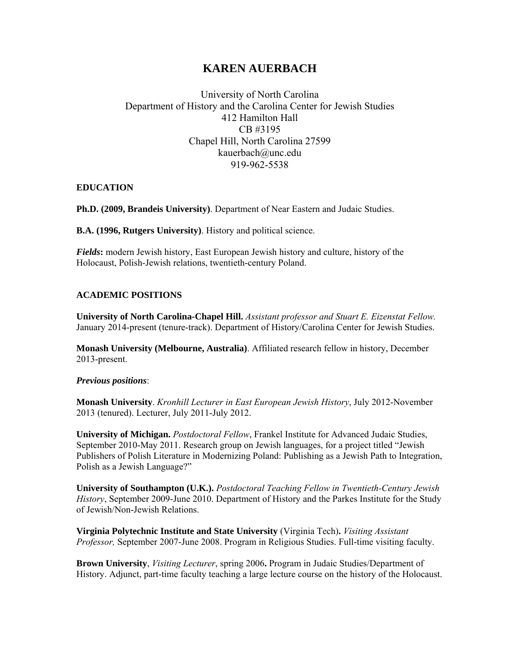# **KAREN AUERBACH**

## University of North Carolina Department of History and the Carolina Center for Jewish Studies 412 Hamilton Hall CB #3195 Chapel Hill, North Carolina 27599 kauerbach@unc.edu 919-962-5538

#### **EDUCATION**

**Ph.D. (2009, Brandeis University)**. Department of Near Eastern and Judaic Studies.

**B.A. (1996, Rutgers University)**. History and political science.

*Fields***:** modern Jewish history, East European Jewish history and culture, history of the Holocaust, Polish-Jewish relations, twentieth-century Poland.

### **ACADEMIC POSITIONS**

**University of North Carolina-Chapel Hill.** *Assistant professor and Stuart E. Eizenstat Fellow.*  January 2014-present (tenure-track). Department of History/Carolina Center for Jewish Studies.

**Monash University (Melbourne, Australia)**. Affiliated research fellow in history, December 2013-present.

#### *Previous positions*:

**Monash University**. *Kronhill Lecturer in East European Jewish History*, July 2012-November 2013 (tenured). Lecturer, July 2011-July 2012.

**University of Michigan.** *Postdoctoral Fellow*, Frankel Institute for Advanced Judaic Studies, September 2010-May 2011. Research group on Jewish languages, for a project titled "Jewish Publishers of Polish Literature in Modernizing Poland: Publishing as a Jewish Path to Integration, Polish as a Jewish Language?"

**University of Southampton (U.K.).** *Postdoctoral Teaching Fellow in Twentieth-Century Jewish History*, September 2009-June 2010. Department of History and the Parkes Institute for the Study of Jewish/Non-Jewish Relations.

**Virginia Polytechnic Institute and State University** (Virginia Tech)**.** *Visiting Assistant Professor,* September 2007-June 2008. Program in Religious Studies. Full-time visiting faculty.

**Brown University**, *Visiting Lecturer*, spring 2006**.** Program in Judaic Studies/Department of History. Adjunct, part-time faculty teaching a large lecture course on the history of the Holocaust.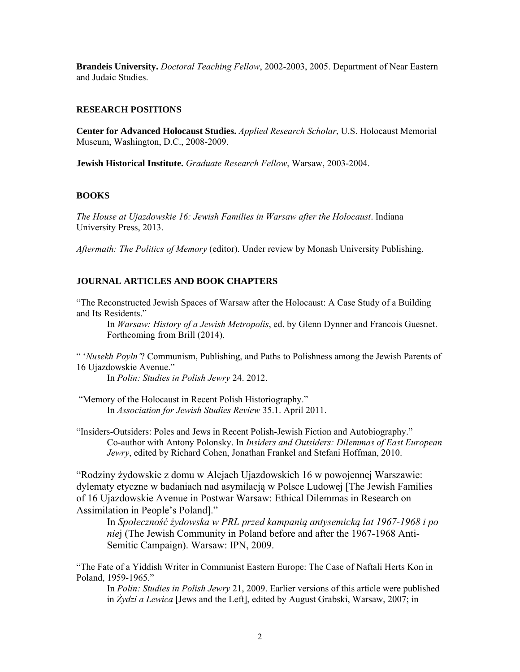**Brandeis University.** *Doctoral Teaching Fellow*, 2002-2003, 2005. Department of Near Eastern and Judaic Studies.

#### **RESEARCH POSITIONS**

**Center for Advanced Holocaust Studies.** *Applied Research Scholar*, U.S. Holocaust Memorial Museum, Washington, D.C., 2008-2009.

**Jewish Historical Institute.** *Graduate Research Fellow*, Warsaw, 2003-2004.

#### **BOOKS**

*The House at Ujazdowskie 16: Jewish Families in Warsaw after the Holocaust*. Indiana University Press, 2013.

*Aftermath: The Politics of Memory* (editor). Under review by Monash University Publishing.

### **JOURNAL ARTICLES AND BOOK CHAPTERS**

"The Reconstructed Jewish Spaces of Warsaw after the Holocaust: A Case Study of a Building and Its Residents."

In *Warsaw: History of a Jewish Metropolis*, ed. by Glenn Dynner and Francois Guesnet. Forthcoming from Brill (2014).

" '*Nusekh Poyln'*? Communism, Publishing, and Paths to Polishness among the Jewish Parents of 16 Ujazdowskie Avenue."

In *Polin: Studies in Polish Jewry* 24. 2012.

 "Memory of the Holocaust in Recent Polish Historiography." In *Association for Jewish Studies Review* 35.1. April 2011.

"Insiders-Outsiders: Poles and Jews in Recent Polish-Jewish Fiction and Autobiography." Co-author with Antony Polonsky. In *Insiders and Outsiders: Dilemmas of East European Jewry*, edited by Richard Cohen, Jonathan Frankel and Stefani Hoffman, 2010.

"Rodziny żydowskie z domu w Alejach Ujazdowskich 16 w powojennej Warszawie: dylematy etyczne w badaniach nad asymilacją w Polsce Ludowej [The Jewish Families of 16 Ujazdowskie Avenue in Postwar Warsaw: Ethical Dilemmas in Research on Assimilation in People's Poland]."

In *Społeczność żydowska w PRL przed kampanią antysemicką lat 1967-1968 i po nie*j (The Jewish Community in Poland before and after the 1967-1968 Anti-Semitic Campaign). Warsaw: IPN, 2009.

"The Fate of a Yiddish Writer in Communist Eastern Europe: The Case of Naftali Herts Kon in Poland, 1959-1965."

In *Polin: Studies in Polish Jewry* 21, 2009. Earlier versions of this article were published in *Żydzi a Lewica* [Jews and the Left], edited by August Grabski, Warsaw, 2007; in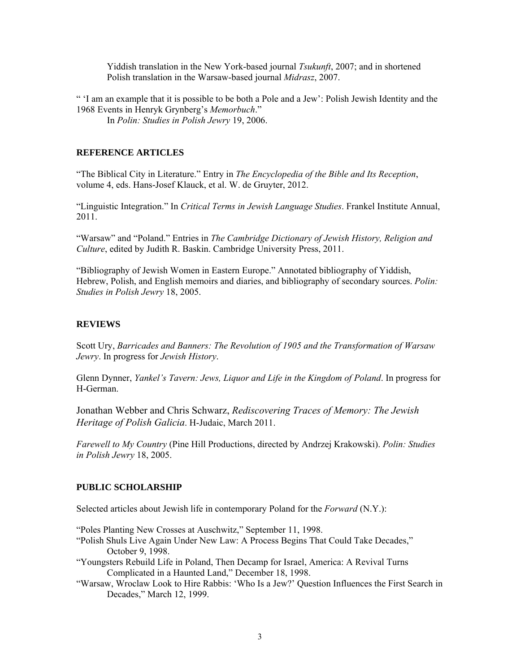Yiddish translation in the New York-based journal *Tsukunft*, 2007; and in shortened Polish translation in the Warsaw-based journal *Midrasz*, 2007.

" 'I am an example that it is possible to be both a Pole and a Jew': Polish Jewish Identity and the 1968 Events in Henryk Grynberg's *Memorbuch*." In *Polin: Studies in Polish Jewry* 19, 2006.

#### **REFERENCE ARTICLES**

"The Biblical City in Literature." Entry in *The Encyclopedia of the Bible and Its Reception*, volume 4, eds. Hans-Josef Klauck, et al. W. de Gruyter, 2012.

"Linguistic Integration." In *Critical Terms in Jewish Language Studies*. Frankel Institute Annual, 2011.

"Warsaw" and "Poland." Entries in *The Cambridge Dictionary of Jewish History, Religion and Culture*, edited by Judith R. Baskin. Cambridge University Press, 2011.

"Bibliography of Jewish Women in Eastern Europe." Annotated bibliography of Yiddish, Hebrew, Polish, and English memoirs and diaries, and bibliography of secondary sources. *Polin: Studies in Polish Jewry* 18, 2005.

### **REVIEWS**

Scott Ury, *Barricades and Banners: The Revolution of 1905 and the Transformation of Warsaw Jewry*. In progress for *Jewish History*.

Glenn Dynner, *Yankel's Tavern: Jews, Liquor and Life in the Kingdom of Poland*. In progress for H-German.

Jonathan Webber and Chris Schwarz, *Rediscovering Traces of Memory: The Jewish Heritage of Polish Galicia*. H-Judaic, March 2011.

*Farewell to My Country* (Pine Hill Productions, directed by Andrzej Krakowski). *Polin: Studies in Polish Jewry* 18, 2005.

### **PUBLIC SCHOLARSHIP**

Selected articles about Jewish life in contemporary Poland for the *Forward* (N.Y.):

"Poles Planting New Crosses at Auschwitz," September 11, 1998.

- "Polish Shuls Live Again Under New Law: A Process Begins That Could Take Decades," October 9, 1998.
- "Youngsters Rebuild Life in Poland, Then Decamp for Israel, America: A Revival Turns Complicated in a Haunted Land," December 18, 1998.
- "Warsaw, Wroclaw Look to Hire Rabbis: 'Who Is a Jew?' Question Influences the First Search in Decades," March 12, 1999.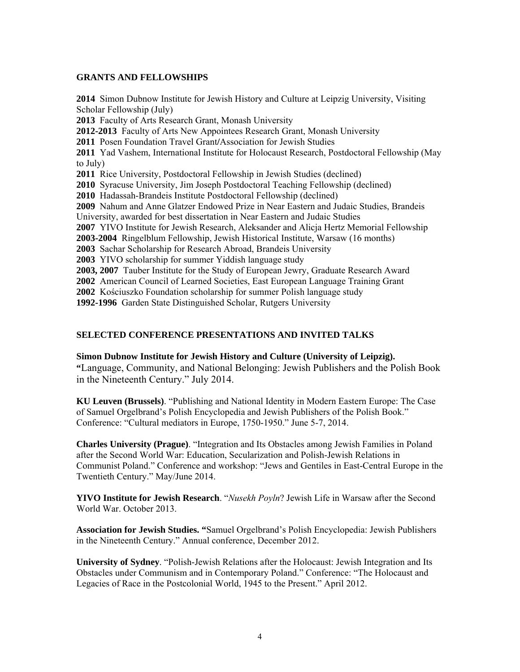## **GRANTS AND FELLOWSHIPS**

 Simon Dubnow Institute for Jewish History and Culture at Leipzig University, Visiting Scholar Fellowship (July) Faculty of Arts Research Grant, Monash University **2012-2013** Faculty of Arts New Appointees Research Grant, Monash University Posen Foundation Travel Grant**/**Association for Jewish Studies Yad Vashem, International Institute for Holocaust Research, Postdoctoral Fellowship (May to July) Rice University, Postdoctoral Fellowship in Jewish Studies (declined) Syracuse University, Jim Joseph Postdoctoral Teaching Fellowship (declined) Hadassah-Brandeis Institute Postdoctoral Fellowship (declined) Nahum and Anne Glatzer Endowed Prize in Near Eastern and Judaic Studies, Brandeis University, awarded for best dissertation in Near Eastern and Judaic Studies YIVO Institute for Jewish Research, Aleksander and Alicja Hertz Memorial Fellowship **2003-2004** Ringelblum Fellowship, Jewish Historical Institute, Warsaw (16 months) Sachar Scholarship for Research Abroad, Brandeis University YIVO scholarship for summer Yiddish language study **2003, 2007** Tauber Institute for the Study of European Jewry, Graduate Research Award American Council of Learned Societies, East European Language Training Grant Kościuszko Foundation scholarship for summer Polish language study **1992-1996** Garden State Distinguished Scholar, Rutgers University

## **SELECTED CONFERENCE PRESENTATIONS AND INVITED TALKS**

**Simon Dubnow Institute for Jewish History and Culture (University of Leipzig). "**Language, Community, and National Belonging: Jewish Publishers and the Polish Book in the Nineteenth Century." July 2014.

**KU Leuven (Brussels)**. "Publishing and National Identity in Modern Eastern Europe: The Case of Samuel Orgelbrand's Polish Encyclopedia and Jewish Publishers of the Polish Book." Conference: "Cultural mediators in Europe, 1750-1950." June 5-7, 2014.

**Charles University (Prague)**. "Integration and Its Obstacles among Jewish Families in Poland after the Second World War: Education, Secularization and Polish-Jewish Relations in Communist Poland." Conference and workshop: "Jews and Gentiles in East-Central Europe in the Twentieth Century." May/June 2014.

**YIVO Institute for Jewish Research**. "*Nusekh Poyln*? Jewish Life in Warsaw after the Second World War. October 2013.

**Association for Jewish Studies. "**Samuel Orgelbrand's Polish Encyclopedia: Jewish Publishers in the Nineteenth Century." Annual conference, December 2012.

**University of Sydney**. "Polish-Jewish Relations after the Holocaust: Jewish Integration and Its Obstacles under Communism and in Contemporary Poland." Conference: "The Holocaust and Legacies of Race in the Postcolonial World, 1945 to the Present." April 2012.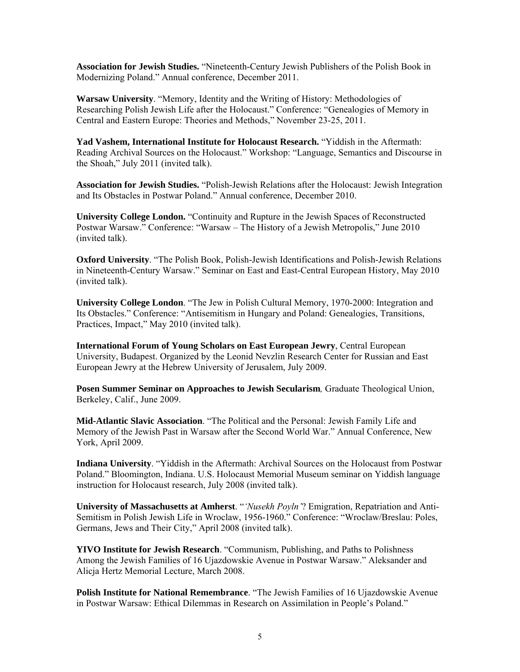**Association for Jewish Studies.** "Nineteenth-Century Jewish Publishers of the Polish Book in Modernizing Poland." Annual conference, December 2011.

**Warsaw University**. "Memory, Identity and the Writing of History: Methodologies of Researching Polish Jewish Life after the Holocaust." Conference: "Genealogies of Memory in Central and Eastern Europe: Theories and Methods," November 23-25, 2011.

**Yad Vashem, International Institute for Holocaust Research.** "Yiddish in the Aftermath: Reading Archival Sources on the Holocaust." Workshop: "Language, Semantics and Discourse in the Shoah," July 2011 (invited talk).

**Association for Jewish Studies.** "Polish-Jewish Relations after the Holocaust: Jewish Integration and Its Obstacles in Postwar Poland." Annual conference, December 2010.

**University College London.** "Continuity and Rupture in the Jewish Spaces of Reconstructed Postwar Warsaw." Conference: "Warsaw – The History of a Jewish Metropolis," June 2010 (invited talk).

**Oxford University**. "The Polish Book, Polish-Jewish Identifications and Polish-Jewish Relations in Nineteenth-Century Warsaw." Seminar on East and East-Central European History, May 2010 (invited talk).

**University College London**. "The Jew in Polish Cultural Memory, 1970-2000: Integration and Its Obstacles." Conference: "Antisemitism in Hungary and Poland: Genealogies, Transitions, Practices, Impact," May 2010 (invited talk).

**International Forum of Young Scholars on East European Jewry**, Central European University, Budapest. Organized by the Leonid Nevzlin Research Center for Russian and East European Jewry at the Hebrew University of Jerusalem, July 2009.

**Posen Summer Seminar on Approaches to Jewish Secularism***,* Graduate Theological Union, Berkeley, Calif., June 2009.

**Mid-Atlantic Slavic Association**. "The Political and the Personal: Jewish Family Life and Memory of the Jewish Past in Warsaw after the Second World War." Annual Conference, New York, April 2009.

**Indiana University**. "Yiddish in the Aftermath: Archival Sources on the Holocaust from Postwar Poland." Bloomington, Indiana. U.S. Holocaust Memorial Museum seminar on Yiddish language instruction for Holocaust research, July 2008 (invited talk).

**University of Massachusetts at Amherst**. "*'Nusekh Poyln'*? Emigration, Repatriation and Anti-Semitism in Polish Jewish Life in Wroclaw, 1956-1960." Conference: "Wroclaw/Breslau: Poles, Germans, Jews and Their City," April 2008 (invited talk).

**YIVO Institute for Jewish Research**. "Communism, Publishing, and Paths to Polishness Among the Jewish Families of 16 Ujazdowskie Avenue in Postwar Warsaw." Aleksander and Alicja Hertz Memorial Lecture, March 2008.

**Polish Institute for National Remembrance**. "The Jewish Families of 16 Ujazdowskie Avenue in Postwar Warsaw: Ethical Dilemmas in Research on Assimilation in People's Poland."